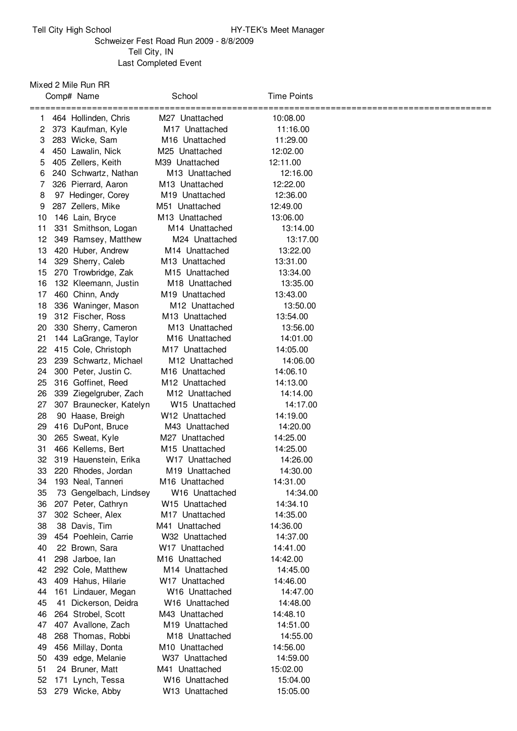## Schweizer Fest Road Run 2009 - 8/8/2009 Tell City, IN Last Completed Event

Mixed 2 Mile Run RR

|    | Comp# Name                        | School                     | <b>Time Points</b> |                           |
|----|-----------------------------------|----------------------------|--------------------|---------------------------|
|    | =========<br>464 Hollinden, Chris | M27 Unattached             | 10:08.00           | ========================= |
| 2  | 373 Kaufman, Kyle                 | M <sub>17</sub> Unattached | 11:16.00           |                           |
| 3  | 283 Wicke, Sam                    | M <sub>16</sub> Unattached | 11:29.00           |                           |
| 4  | 450 Lawalin, Nick                 | M25 Unattached             | 12:02.00           |                           |
| 5  | 405 Zellers, Keith                | M39 Unattached             | 12:11.00           |                           |
| 6  | 240 Schwartz, Nathan              | M <sub>13</sub> Unattached | 12:16.00           |                           |
| 7  | 326 Pierrard, Aaron               | M <sub>13</sub> Unattached | 12:22.00           |                           |
| 8  | 97 Hedinger, Corey                | M <sub>19</sub> Unattached | 12:36.00           |                           |
| 9  | 287 Zellers, Mike                 | M51 Unattached             | 12:49.00           |                           |
| 10 | 146 Lain, Bryce                   | M <sub>13</sub> Unattached | 13:06.00           |                           |
| 11 | 331 Smithson, Logan               | M <sub>14</sub> Unattached | 13:14.00           |                           |
| 12 | 349 Ramsey, Matthew               | M24 Unattached             | 13:17.00           |                           |
| 13 | 420 Huber, Andrew                 | M <sub>14</sub> Unattached | 13:22.00           |                           |
| 14 | 329 Sherry, Caleb                 | M <sub>13</sub> Unattached | 13:31.00           |                           |
| 15 | 270 Trowbridge, Zak               | M15 Unattached             | 13:34.00           |                           |
| 16 | 132 Kleemann, Justin              | M18 Unattached             | 13:35.00           |                           |
| 17 | 460 Chinn, Andy                   | M19 Unattached             | 13:43.00           |                           |
| 18 | 336 Waninger, Mason               | M <sub>12</sub> Unattached | 13:50.00           |                           |
| 19 | 312 Fischer, Ross                 | M <sub>13</sub> Unattached | 13:54.00           |                           |
| 20 | 330 Sherry, Cameron               | M <sub>13</sub> Unattached | 13:56.00           |                           |
| 21 | 144 LaGrange, Taylor              | M <sub>16</sub> Unattached | 14:01.00           |                           |
| 22 | 415 Cole, Christoph               | M <sub>17</sub> Unattached | 14:05.00           |                           |
| 23 | 239 Schwartz, Michael             | M <sub>12</sub> Unattached | 14:06.00           |                           |
| 24 | 300 Peter, Justin C.              | M <sub>16</sub> Unattached | 14:06.10           |                           |
| 25 | 316 Goffinet, Reed                | M12 Unattached             | 14:13.00           |                           |
| 26 | 339 Ziegelgruber, Zach            | M <sub>12</sub> Unattached | 14:14.00           |                           |
| 27 | 307 Braunecker, Katelyn           | W15 Unattached             | 14:17.00           |                           |
| 28 | 90 Haase, Breigh                  | W <sub>12</sub> Unattached | 14:19.00           |                           |
| 29 | 416 DuPont, Bruce                 | M43 Unattached             | 14:20.00           |                           |
| 30 | 265 Sweat, Kyle                   | M27 Unattached             | 14:25.00           |                           |
| 31 | 466 Kellems, Bert                 | M <sub>15</sub> Unattached | 14:25.00           |                           |
| 32 | 319 Hauenstein, Erika             | W17 Unattached             | 14:26.00           |                           |
| 33 | 220 Rhodes, Jordan                | M19 Unattached             | 14:30.00           |                           |
| 34 | 193 Neal, Tanneri                 | M16 Unattached             | 14:31.00           |                           |
| 35 | 73 Gengelbach, Lindsey            | W16 Unattached             | 14:34.00           |                           |
| 36 | 207 Peter, Cathryn                | W <sub>15</sub> Unattached | 14:34.10           |                           |
| 37 | 302 Scheer, Alex                  | M <sub>17</sub> Unattached | 14:35.00           |                           |
| 38 | 38 Davis, Tim                     | M41 Unattached             | 14:36.00           |                           |
| 39 | 454 Poehlein, Carrie              | W32 Unattached             | 14:37.00           |                           |
| 40 | 22 Brown, Sara                    | W <sub>17</sub> Unattached | 14:41.00           |                           |
| 41 | 298 Jarboe, lan                   | M <sub>16</sub> Unattached | 14:42.00           |                           |
| 42 | 292 Cole, Matthew                 | M <sub>14</sub> Unattached | 14:45.00           |                           |
| 43 | 409 Hahus, Hilarie                | W17 Unattached             | 14:46.00           |                           |
| 44 | 161 Lindauer, Megan               | W <sub>16</sub> Unattached | 14:47.00           |                           |
| 45 | 41 Dickerson, Deidra              | W <sub>16</sub> Unattached | 14:48.00           |                           |
| 46 | 264 Strobel, Scott                | M43 Unattached             | 14:48.10           |                           |
| 47 | 407 Avallone, Zach                | M <sub>19</sub> Unattached | 14:51.00           |                           |
| 48 | 268 Thomas, Robbi                 | M18 Unattached             | 14:55.00           |                           |
| 49 | 456 Millay, Donta                 | M <sub>10</sub> Unattached | 14:56.00           |                           |
| 50 | 439 edge, Melanie                 | W37 Unattached             | 14:59.00           |                           |
| 51 | 24 Bruner, Matt                   | M41 Unattached             | 15:02.00           |                           |
| 52 | Lynch, Tessa<br>171               | W16 Unattached             | 15:04.00           |                           |
| 53 | 279 Wicke, Abby                   | W13 Unattached             | 15:05.00           |                           |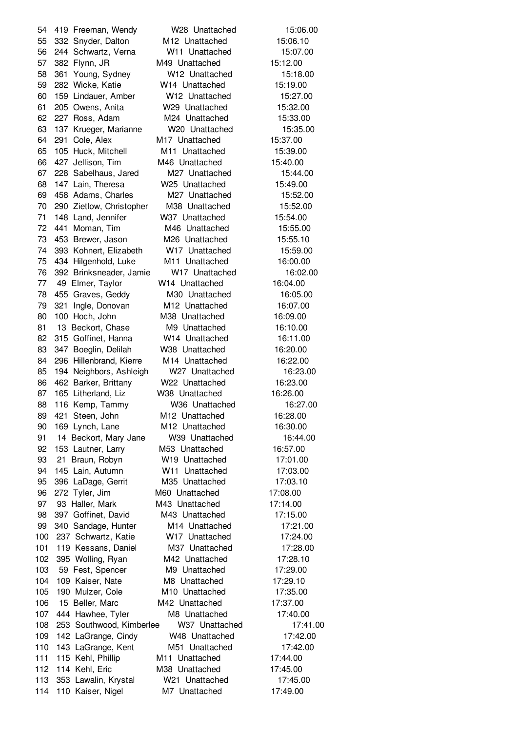419 Freeman, Wendy W28 Unattached 15:06.00 332 Snyder, Dalton M12 Unattached 15:06.10 244 Schwartz, Verna W11 Unattached 15:07.00 382 Flynn, JR M49 Unattached 15:12.00 361 Young, Sydney W12 Unattached 15:18.00 282 Wicke, Katie W14 Unattached 15:19.00 159 Lindauer, Amber W12 Unattached 15:27.00 205 Owens, Anita W29 Unattached 15:32.00 227 Ross, Adam M24 Unattached 15:33.00 137 Krueger, Marianne W20 Unattached 15:35.00 291 Cole, Alex M17 Unattached 15:37.00 105 Huck, Mitchell M11 Unattached 15:39.00 427 Jellison, Tim M46 Unattached 15:40.00 228 Sabelhaus, Jared M27 Unattached 15:44.00 147 Lain, Theresa W25 Unattached 15:49.00 458 Adams, Charles M27 Unattached 15:52.00 290 Zietlow, Christopher M38 Unattached 15:52.00 148 Land, Jennifer W37 Unattached 15:54.00 441 Moman, Tim M46 Unattached 15:55.00 453 Brewer, Jason M26 Unattached 15:55.10 393 Kohnert, Elizabeth W17 Unattached 15:59.00 434 Hilgenhold, Luke M11 Unattached 16:00.00 392 Brinksneader, Jamie W17 Unattached 16:02.00 49 Elmer, Taylor W14 Unattached 16:04.00 455 Graves, Geddy M30 Unattached 16:05.00 321 Ingle, Donovan M12 Unattached 16:07.00 100 Hoch, John M38 Unattached 16:09.00 81 13 Beckort, Chase M9 Unattached 16:10.00 315 Goffinet, Hanna W14 Unattached 16:11.00 347 Boeglin, Delilah W38 Unattached 16:20.00 296 Hillenbrand, Kierre M14 Unattached 16:22.00 194 Neighbors, Ashleigh W27 Unattached 16:23.00 462 Barker, Brittany W22 Unattached 16:23.00 165 Litherland, Liz W38 Unattached 16:26.00 116 Kemp, Tammy W36 Unattached 16:27.00 421 Steen, John M12 Unattached 16:28.00 169 Lynch, Lane M12 Unattached 16:30.00 14 Beckort, Mary Jane W39 Unattached 16:44.00 153 Lautner, Larry M53 Unattached 16:57.00 21 Braun, Robyn W19 Unattached 17:01.00 145 Lain, Autumn W11 Unattached 17:03.00 396 LaDage, Gerrit M35 Unattached 17:03.10 272 Tyler, Jim M60 Unattached 17:08.00 93 Haller, Mark M43 Unattached 17:14.00 397 Goffinet, David M43 Unattached 17:15.00 340 Sandage, Hunter M14 Unattached 17:21.00 237 Schwartz, Katie W17 Unattached 17:24.00 119 Kessans, Daniel M37 Unattached 17:28.00 395 Wolling, Ryan M42 Unattached 17:28.10 103 59 Fest, Spencer M9 Unattached 17:29.00 109 Kaiser, Nate M8 Unattached 17:29.10 190 Mulzer, Cole M10 Unattached 17:35.00 15 Beller, Marc M42 Unattached 17:37.00 107 444 Hawhee, Tyler M8 Unattached 17:40.00 253 Southwood, Kimberlee W37 Unattached 17:41.00 142 LaGrange, Cindy W48 Unattached 17:42.00 143 LaGrange, Kent M51 Unattached 17:42.00 115 Kehl, Phillip M11 Unattached 17:44.00 114 Kehl, Eric M38 Unattached 17:45.00 353 Lawalin, Krystal W21 Unattached 17:45.00 110 Kaiser, Nigel M7 Unattached 17:49.00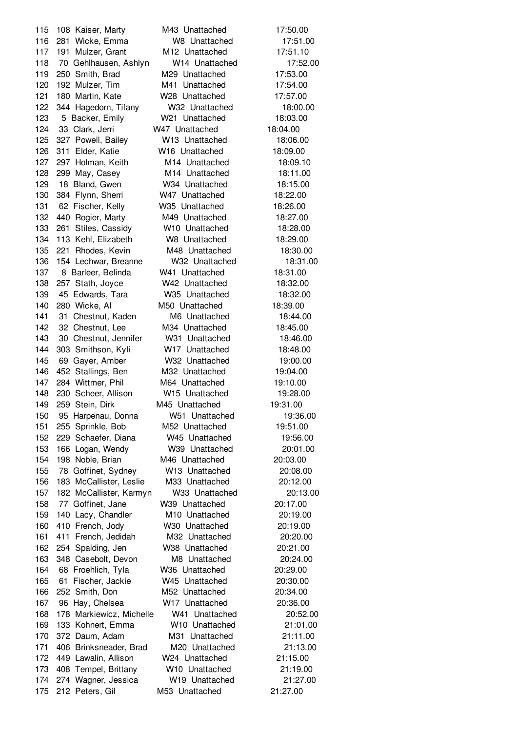108 Kaiser, Marty M43 Unattached 17:50.00 281 Wicke, Emma W8 Unattached 17:51.00 191 Mulzer, Grant M12 Unattached 17:51.10 70 Gehlhausen, Ashlyn W14 Unattached 17:52.00 250 Smith, Brad M29 Unattached 17:53.00 192 Mulzer, Tim M41 Unattached 17:54.00 180 Martin, Kate W28 Unattached 17:57.00 344 Hagedorn, Tifany W32 Unattached 18:00.00 5 Backer, Emily W21 Unattached 18:03.00 33 Clark, Jerri W47 Unattached 18:04.00 327 Powell, Bailey W13 Unattached 18:06.00 311 Elder, Katie W16 Unattached 18:09.00 297 Holman, Keith M14 Unattached 18:09.10 299 May, Casey M14 Unattached 18:11.00 18 Bland, Gwen W34 Unattached 18:15.00 384 Flynn, Sherri W47 Unattached 18:22.00 62 Fischer, Kelly W35 Unattached 18:26.00 440 Rogier, Marty M49 Unattached 18:27.00 261 Stiles, Cassidy W10 Unattached 18:28.00 113 Kehl, Elizabeth W8 Unattached 18:29.00 221 Rhodes, Kevin M48 Unattached 18:30.00 154 Lechwar, Breanne W32 Unattached 18:31.00 8 Barleer, Belinda W41 Unattached 18:31.00 257 Stath, Joyce W42 Unattached 18:32.00 45 Edwards, Tara W35 Unattached 18:32.00 280 Wicke, Al M50 Unattached 18:39.00 141 31 Chestnut, Kaden M6 Unattached 18:44.00 32 Chestnut, Lee M34 Unattached 18:45.00 30 Chestnut, Jennifer W31 Unattached 18:46.00 303 Smithson, Kyli W17 Unattached 18:48.00 69 Gayer, Amber W32 Unattached 19:00.00 452 Stallings, Ben M32 Unattached 19:04.00 284 Wittmer, Phil M64 Unattached 19:10.00 230 Scheer, Allison W15 Unattached 19:28.00 259 Stein, Dirk M45 Unattached 19:31.00 95 Harpenau, Donna W51 Unattached 19:36.00 255 Sprinkle, Bob M52 Unattached 19:51.00 229 Schaefer, Diana W45 Unattached 19:56.00 166 Logan, Wendy W39 Unattached 20:01.00 198 Noble, Brian M46 Unattached 20:03.00 78 Goffinet, Sydney W13 Unattached 20:08.00 183 McCallister, Leslie M33 Unattached 20:12.00 182 McCallister, Karmyn W33 Unattached 20:13.00 77 Goffinet, Jane W39 Unattached 20:17.00 140 Lacy, Chandler M10 Unattached 20:19.00 410 French, Jody W30 Unattached 20:19.00 411 French, Jedidah M32 Unattached 20:20.00 254 Spalding, Jen W38 Unattached 20:21.00 348 Casebolt, Devon M8 Unattached 20:24.00 68 Froehlich, Tyla W36 Unattached 20:29.00 61 Fischer, Jackie W45 Unattached 20:30.00 252 Smith, Don M52 Unattached 20:34.00 96 Hay, Chelsea W17 Unattached 20:36.00 178 Markiewicz, Michelle W41 Unattached 20:52.00 133 Kohnert, Emma W10 Unattached 21:01.00 372 Daum, Adam M31 Unattached 21:11.00 406 Brinksneader, Brad M20 Unattached 21:13.00 449 Lawalin, Allison W24 Unattached 21:15.00 408 Tempel, Brittany W10 Unattached 21:19.00 274 Wagner, Jessica W19 Unattached 21:27.00 212 Peters, Gil M53 Unattached 21:27.00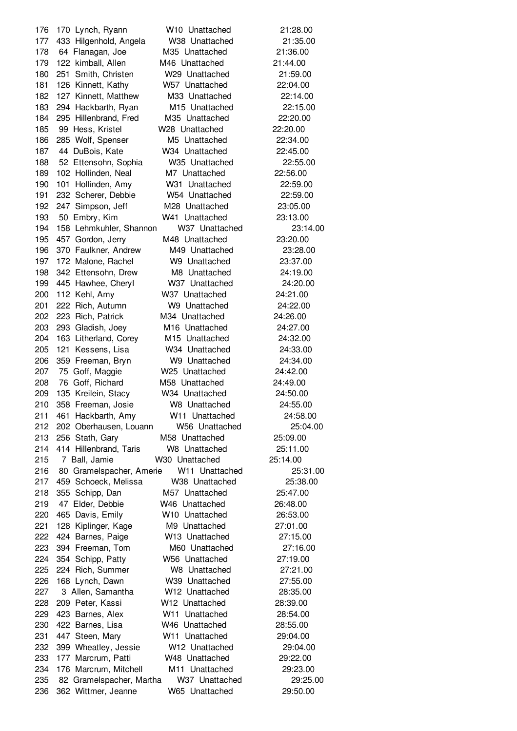170 Lynch, Ryann W10 Unattached 21:28.00 433 Hilgenhold, Angela W38 Unattached 21:35.00 64 Flanagan, Joe M35 Unattached 21:36.00 122 kimball, Allen M46 Unattached 21:44.00 251 Smith, Christen W29 Unattached 21:59.00 126 Kinnett, Kathy W57 Unattached 22:04.00 127 Kinnett, Matthew M33 Unattached 22:14.00 294 Hackbarth, Ryan M15 Unattached 22:15.00 295 Hillenbrand, Fred M35 Unattached 22:20.00 99 Hess, Kristel W28 Unattached 22:20.00 285 Wolf, Spenser M5 Unattached 22:34.00 44 DuBois, Kate W34 Unattached 22:45.00 52 Ettensohn, Sophia W35 Unattached 22:55.00 102 Hollinden, Neal M7 Unattached 22:56.00 101 Hollinden, Amy W31 Unattached 22:59.00 232 Scherer, Debbie W54 Unattached 22:59.00 247 Simpson, Jeff M28 Unattached 23:05.00 50 Embry, Kim W41 Unattached 23:13.00 158 Lehmkuhler, Shannon W37 Unattached 23:14.00 457 Gordon, Jerry M48 Unattached 23:20.00 370 Faulkner, Andrew M49 Unattached 23:28.00 172 Malone, Rachel W9 Unattached 23:37.00 342 Ettensohn, Drew M8 Unattached 24:19.00 445 Hawhee, Cheryl W37 Unattached 24:20.00 112 Kehl, Amy W37 Unattached 24:21.00 222 Rich, Autumn W9 Unattached 24:22.00 223 Rich, Patrick M34 Unattached 24:26.00 293 Gladish, Joey M16 Unattached 24:27.00 163 Litherland, Corey M15 Unattached 24:32.00 121 Kessens, Lisa W34 Unattached 24:33.00 359 Freeman, Bryn W9 Unattached 24:34.00 75 Goff, Maggie W25 Unattached 24:42.00 76 Goff, Richard M58 Unattached 24:49.00 135 Kreilein, Stacy W34 Unattached 24:50.00 358 Freeman, Josie W8 Unattached 24:55.00 461 Hackbarth, Amy W11 Unattached 24:58.00 202 Oberhausen, Louann W56 Unattached 25:04.00 256 Stath, Gary M58 Unattached 25:09.00 414 Hillenbrand, Taris W8 Unattached 25:11.00 7 Ball, Jamie W30 Unattached 25:14.00 80 Gramelspacher, Amerie W11 Unattached 25:31.00 459 Schoeck, Melissa W38 Unattached 25:38.00 355 Schipp, Dan M57 Unattached 25:47.00 47 Elder, Debbie W46 Unattached 26:48.00 465 Davis, Emily W10 Unattached 26:53.00 128 Kiplinger, Kage M9 Unattached 27:01.00 424 Barnes, Paige W13 Unattached 27:15.00 394 Freeman, Tom M60 Unattached 27:16.00 354 Schipp, Patty W56 Unattached 27:19.00 224 Rich, Summer W8 Unattached 27:21.00 168 Lynch, Dawn W39 Unattached 27:55.00 3 Allen, Samantha W12 Unattached 28:35.00 209 Peter, Kassi W12 Unattached 28:39.00 423 Barnes, Alex W11 Unattached 28:54.00 422 Barnes, Lisa W46 Unattached 28:55.00 447 Steen, Mary W11 Unattached 29:04.00 399 Wheatley, Jessie W12 Unattached 29:04.00 177 Marcrum, Patti W48 Unattached 29:22.00 176 Marcrum, Mitchell M11 Unattached 29:23.00 82 Gramelspacher, Martha W37 Unattached 29:25.00 362 Wittmer, Jeanne W65 Unattached 29:50.00